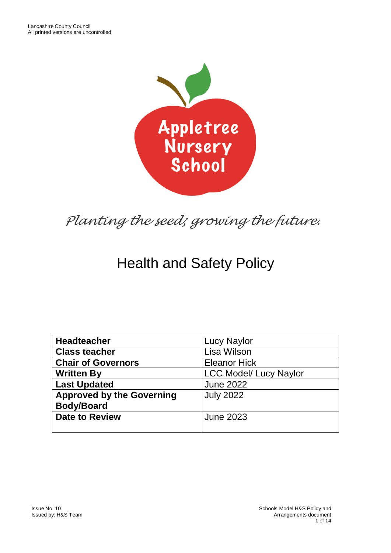

# *Planting the seed; growing the future.*

# Health and Safety Policy

| <b>Headteacher</b>               | <b>Lucy Naylor</b>            |
|----------------------------------|-------------------------------|
| <b>Class teacher</b>             | Lisa Wilson                   |
| <b>Chair of Governors</b>        | <b>Eleanor Hick</b>           |
| <b>Written By</b>                | <b>LCC Model/ Lucy Naylor</b> |
| <b>Last Updated</b>              | <b>June 2022</b>              |
| <b>Approved by the Governing</b> | <b>July 2022</b>              |
| <b>Body/Board</b>                |                               |
| <b>Date to Review</b>            | <b>June 2023</b>              |
|                                  |                               |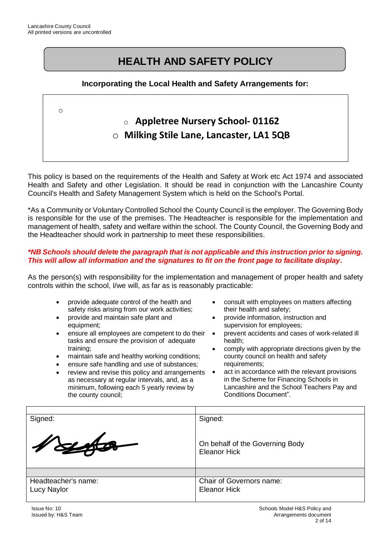o

# **HEALTH AND SAFETY POLICY**

#### **Incorporating the Local Health and Safety Arrangements for:**

# o **Appletree Nursery School- 01162** o **Milking Stile Lane, Lancaster, LA1 5QB**

This policy is based on the requirements of the Health and Safety at Work etc Act 1974 and associated Health and Safety and other Legislation. It should be read in conjunction with the Lancashire County Council's Health and Safety Management System which is held on the School's Portal.

\*As a Community or Voluntary Controlled School the County Council is the employer. The Governing Body is responsible for the use of the premises. The Headteacher is responsible for the implementation and management of health, safety and welfare within the school. The County Council, the Governing Body and the Headteacher should work in partnership to meet these responsibilities.

#### *\*NB Schools should delete the paragraph that is not applicable and this instruction prior to signing. This will allow all information and the signatures to fit on the front page to facilitate display.*

As the person(s) with responsibility for the implementation and management of proper health and safety controls within the school, I/we will, as far as is reasonably practicable:

- provide adequate control of the health and safety risks arising from our work activities;
- provide and maintain safe plant and equipment;
- ensure all employees are competent to do their tasks and ensure the provision of adequate training;
- maintain safe and healthy working conditions;
- ensure safe handling and use of substances:
- review and revise this policy and arrangements as necessary at regular intervals, and, as a minimum, following each 5 yearly review by the county council;
- consult with employees on matters affecting their health and safety;
- provide information, instruction and supervision for employees;
- prevent accidents and cases of work-related ill health;
- comply with appropriate directions given by the county council on health and safety requirements:
- act in accordance with the relevant provisions in the Scheme for Financing Schools in Lancashire and the School Teachers Pay and Conditions Document".

| Signed:             | Signed:                                                |
|---------------------|--------------------------------------------------------|
| Vouto               | On behalf of the Governing Body<br><b>Eleanor Hick</b> |
|                     |                                                        |
| Headteacher's name: | Chair of Governors name:                               |
| <b>Lucy Naylor</b>  | <b>Eleanor Hick</b>                                    |
|                     |                                                        |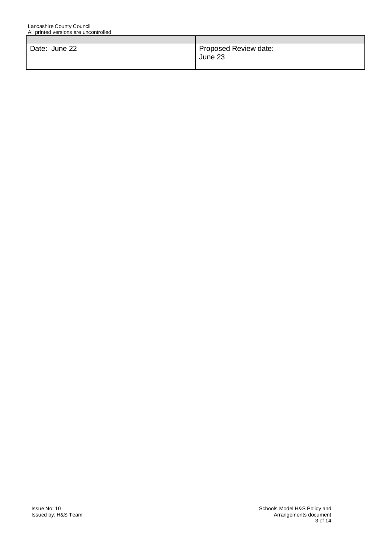| Date: June 22 | Proposed Review date:<br>June 23 |
|---------------|----------------------------------|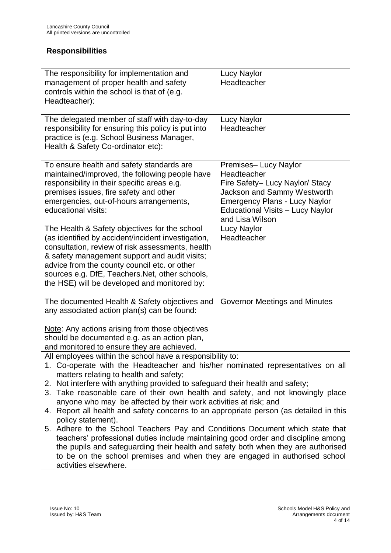#### **Responsibilities**

| The responsibility for implementation and<br>management of proper health and safety<br>controls within the school is that of (e.g.<br>Headteacher):                                                                                                                                                                                                                                                                                                                                                                                                                                                                                                                                                                                                                                                                                                                                                               | <b>Lucy Naylor</b><br>Headteacher                                                                                                                                                                     |
|-------------------------------------------------------------------------------------------------------------------------------------------------------------------------------------------------------------------------------------------------------------------------------------------------------------------------------------------------------------------------------------------------------------------------------------------------------------------------------------------------------------------------------------------------------------------------------------------------------------------------------------------------------------------------------------------------------------------------------------------------------------------------------------------------------------------------------------------------------------------------------------------------------------------|-------------------------------------------------------------------------------------------------------------------------------------------------------------------------------------------------------|
| The delegated member of staff with day-to-day<br>responsibility for ensuring this policy is put into<br>practice is (e.g. School Business Manager,<br>Health & Safety Co-ordinator etc):                                                                                                                                                                                                                                                                                                                                                                                                                                                                                                                                                                                                                                                                                                                          | <b>Lucy Naylor</b><br>Headteacher                                                                                                                                                                     |
| To ensure health and safety standards are<br>maintained/improved, the following people have<br>responsibility in their specific areas e.g.<br>premises issues, fire safety and other<br>emergencies, out-of-hours arrangements,<br>educational visits:                                                                                                                                                                                                                                                                                                                                                                                                                                                                                                                                                                                                                                                            | Premises- Lucy Naylor<br>Headteacher<br>Fire Safety- Lucy Naylor/ Stacy<br>Jackson and Sammy Westworth<br><b>Emergency Plans - Lucy Naylor</b><br>Educational Visits - Lucy Naylor<br>and Lisa Wilson |
| The Health & Safety objectives for the school<br>(as identified by accident/incident investigation,<br>consultation, review of risk assessments, health<br>& safety management support and audit visits;<br>advice from the county council etc. or other<br>sources e.g. DfE, Teachers. Net, other schools,<br>the HSE) will be developed and monitored by:                                                                                                                                                                                                                                                                                                                                                                                                                                                                                                                                                       | <b>Lucy Naylor</b><br>Headteacher                                                                                                                                                                     |
| The documented Health & Safety objectives and<br>any associated action plan(s) can be found:<br>Note: Any actions arising from those objectives<br>should be documented e.g. as an action plan,<br>and monitored to ensure they are achieved.                                                                                                                                                                                                                                                                                                                                                                                                                                                                                                                                                                                                                                                                     | Governor Meetings and Minutes                                                                                                                                                                         |
| All employees within the school have a responsibility to:<br>1. Co-operate with the Headteacher and his/her nominated representatives on all<br>matters relating to health and safety;<br>2. Not interfere with anything provided to safeguard their health and safety;<br>3. Take reasonable care of their own health and safety, and not knowingly place<br>anyone who may be affected by their work activities at risk; and<br>4. Report all health and safety concerns to an appropriate person (as detailed in this<br>policy statement).<br>5. Adhere to the School Teachers Pay and Conditions Document which state that<br>teachers' professional duties include maintaining good order and discipline among<br>the pupils and safeguarding their health and safety both when they are authorised<br>to be on the school premises and when they are engaged in authorised school<br>activities elsewhere. |                                                                                                                                                                                                       |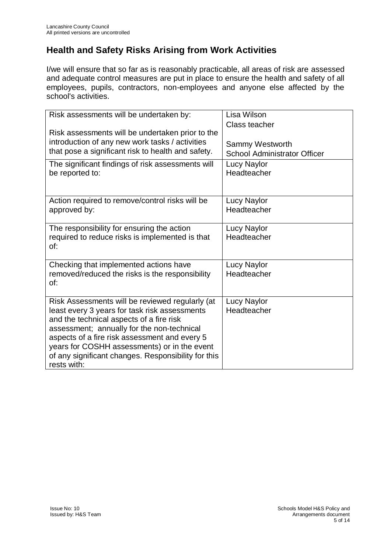# **Health and Safety Risks Arising from Work Activities**

I/we will ensure that so far as is reasonably practicable, all areas of risk are assessed and adequate control measures are put in place to ensure the health and safety of all employees, pupils, contractors, non-employees and anyone else affected by the school's activities.

| Risk assessments will be undertaken by:<br>Risk assessments will be undertaken prior to the<br>introduction of any new work tasks / activities<br>that pose a significant risk to health and safety.<br>The significant findings of risk assessments will<br>be reported to:                                                                                      | Lisa Wilson<br>Class teacher<br>Sammy Westworth<br><b>School Administrator Officer</b><br><b>Lucy Naylor</b><br>Headteacher |
|-------------------------------------------------------------------------------------------------------------------------------------------------------------------------------------------------------------------------------------------------------------------------------------------------------------------------------------------------------------------|-----------------------------------------------------------------------------------------------------------------------------|
| Action required to remove/control risks will be<br>approved by:                                                                                                                                                                                                                                                                                                   | <b>Lucy Naylor</b><br>Headteacher                                                                                           |
| The responsibility for ensuring the action<br>required to reduce risks is implemented is that<br>of:                                                                                                                                                                                                                                                              | <b>Lucy Naylor</b><br>Headteacher                                                                                           |
| Checking that implemented actions have<br>removed/reduced the risks is the responsibility<br>of:                                                                                                                                                                                                                                                                  | <b>Lucy Naylor</b><br>Headteacher                                                                                           |
| Risk Assessments will be reviewed regularly (at<br>least every 3 years for task risk assessments<br>and the technical aspects of a fire risk<br>assessment; annually for the non-technical<br>aspects of a fire risk assessment and every 5<br>years for COSHH assessments) or in the event<br>of any significant changes. Responsibility for this<br>rests with: | <b>Lucy Naylor</b><br>Headteacher                                                                                           |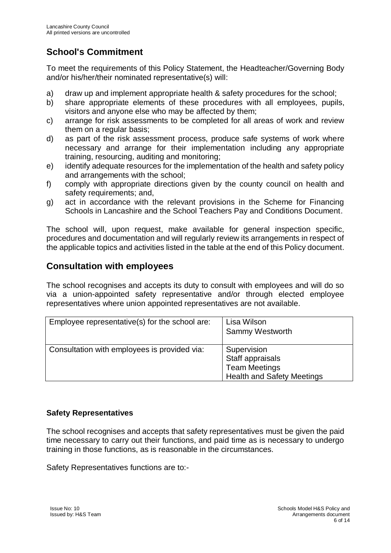# **School's Commitment**

To meet the requirements of this Policy Statement, the Headteacher/Governing Body and/or his/her/their nominated representative(s) will:

- a) draw up and implement appropriate health & safety procedures for the school;
- b) share appropriate elements of these procedures with all employees, pupils, visitors and anyone else who may be affected by them;
- c) arrange for risk assessments to be completed for all areas of work and review them on a regular basis;
- d) as part of the risk assessment process, produce safe systems of work where necessary and arrange for their implementation including any appropriate training, resourcing, auditing and monitoring;
- e) identify adequate resources for the implementation of the health and safety policy and arrangements with the school;
- f) comply with appropriate directions given by the county council on health and safety requirements; and,
- g) act in accordance with the relevant provisions in the Scheme for Financing Schools in Lancashire and the School Teachers Pay and Conditions Document.

The school will, upon request, make available for general inspection specific, procedures and documentation and will regularly review its arrangements in respect of the applicable topics and activities listed in the table at the end of this Policy document.

### **Consultation with employees**

The school recognises and accepts its duty to consult with employees and will do so via a union-appointed safety representative and/or through elected employee representatives where union appointed representatives are not available.

| Employee representative(s) for the school are: | Lisa Wilson<br><b>Sammy Westworth</b>                                                        |
|------------------------------------------------|----------------------------------------------------------------------------------------------|
| Consultation with employees is provided via:   | Supervision<br>Staff appraisals<br><b>Team Meetings</b><br><b>Health and Safety Meetings</b> |

#### **Safety Representatives**

The school recognises and accepts that safety representatives must be given the paid time necessary to carry out their functions, and paid time as is necessary to undergo training in those functions, as is reasonable in the circumstances.

Safety Representatives functions are to:-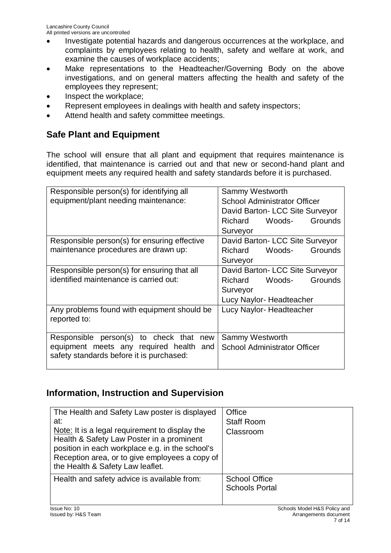- Investigate potential hazards and dangerous occurrences at the workplace, and complaints by employees relating to health, safety and welfare at work, and examine the causes of workplace accidents;
- Make representations to the Headteacher/Governing Body on the above investigations, and on general matters affecting the health and safety of the employees they represent;
- Inspect the workplace;
- Represent employees in dealings with health and safety inspectors;
- Attend health and safety committee meetings.

# **Safe Plant and Equipment**

The school will ensure that all plant and equipment that requires maintenance is identified, that maintenance is carried out and that new or second-hand plant and equipment meets any required health and safety standards before it is purchased.

| Responsible person(s) for identifying all    | Sammy Westworth                     |
|----------------------------------------------|-------------------------------------|
| equipment/plant needing maintenance:         | <b>School Administrator Officer</b> |
|                                              | David Barton- LCC Site Surveyor     |
|                                              | Woods-<br>Grounds<br>Richard        |
|                                              | Surveyor                            |
| Responsible person(s) for ensuring effective | David Barton- LCC Site Surveyor     |
| maintenance procedures are drawn up:         | Woods-<br>Grounds<br><b>Richard</b> |
|                                              | Surveyor                            |
| Responsible person(s) for ensuring that all  | David Barton- LCC Site Surveyor     |
| identified maintenance is carried out:       | Grounds<br><b>Richard</b><br>Woods- |
|                                              | Surveyor                            |
|                                              | Lucy Naylor-Headteacher             |
| Any problems found with equipment should be  | Lucy Naylor-Headteacher             |
| reported to:                                 |                                     |
| Responsible person(s) to check that<br>new   | Sammy Westworth                     |
| equipment meets any required health<br>and   | <b>School Administrator Officer</b> |
| safety standards before it is purchased:     |                                     |
|                                              |                                     |

### **Information, Instruction and Supervision**

| The Health and Safety Law poster is displayed<br>at:<br>Note: It is a legal requirement to display the<br>Health & Safety Law Poster in a prominent<br>position in each workplace e.g. in the school's<br>Reception area, or to give employees a copy of<br>the Health & Safety Law leaflet. | Office<br><b>Staff Room</b><br>Classroom      |
|----------------------------------------------------------------------------------------------------------------------------------------------------------------------------------------------------------------------------------------------------------------------------------------------|-----------------------------------------------|
| Health and safety advice is available from:                                                                                                                                                                                                                                                  | <b>School Office</b><br><b>Schools Portal</b> |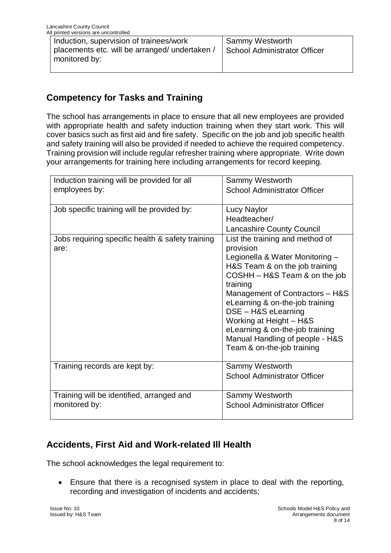| Induction, supervision of trainees/work        | <b>Sammy Westworth</b>       |
|------------------------------------------------|------------------------------|
| placements etc. will be arranged/ undertaken / | School Administrator Officer |
| monitored by:                                  |                              |
|                                                |                              |

# **Competency for Tasks and Training**

The school has arrangements in place to ensure that all new employees are provided with appropriate health and safety induction training when they start work. This will cover basics such as first aid and fire safety. Specific on the job and job specific health and safety training will also be provided if needed to achieve the required competency. Training provision will include regular refresher training where appropriate. Write down your arrangements for training here including arrangements for record keeping.

| Induction training will be provided for all<br>employees by: | Sammy Westworth<br><b>School Administrator Officer</b>                                                                                                                                                                                                                                                                                                                                     |
|--------------------------------------------------------------|--------------------------------------------------------------------------------------------------------------------------------------------------------------------------------------------------------------------------------------------------------------------------------------------------------------------------------------------------------------------------------------------|
| Job specific training will be provided by:                   | <b>Lucy Naylor</b><br>Headteacher/<br><b>Lancashire County Council</b>                                                                                                                                                                                                                                                                                                                     |
| Jobs requiring specific health & safety training<br>are:     | List the training and method of<br>provision<br>Legionella & Water Monitoring -<br>H&S Team & on the job training<br>COSHH - H&S Team & on the job<br>training<br>Management of Contractors - H&S<br>eLearning & on-the-job training<br>DSE - H&S eLearning<br>Working at Height - H&S<br>eLearning & on-the-job training<br>Manual Handling of people - H&S<br>Team & on-the-job training |
| Training records are kept by:                                | Sammy Westworth<br><b>School Administrator Officer</b>                                                                                                                                                                                                                                                                                                                                     |
| Training will be identified, arranged and<br>monitored by:   | Sammy Westworth<br><b>School Administrator Officer</b>                                                                                                                                                                                                                                                                                                                                     |

## **Accidents, First Aid and Work-related Ill Health**

The school acknowledges the legal requirement to:

• Ensure that there is a recognised system in place to deal with the reporting, recording and investigation of incidents and accidents;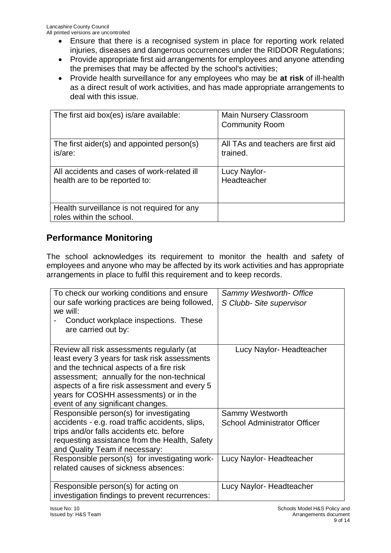- Ensure that there is a recognised system in place for reporting work related injuries, diseases and dangerous occurrences under the RIDDOR Regulations;
- Provide appropriate first aid arrangements for employees and anyone attending the premises that may be affected by the school's activities;
- Provide health surveillance for any employees who may be **at risk** of ill-health as a direct result of work activities, and has made appropriate arrangements to deal with this issue.

| The first aid box(es) is/are available:                                 | <b>Main Nursery Classroom</b><br><b>Community Room</b> |
|-------------------------------------------------------------------------|--------------------------------------------------------|
| The first aider(s) and appointed person(s)                              | All TAs and teachers are first aid                     |
| is/are:                                                                 | trained.                                               |
| All accidents and cases of work-related ill                             | Lucy Naylor-                                           |
| health are to be reported to:                                           | Headteacher                                            |
| Health surveillance is not required for any<br>roles within the school. |                                                        |

# **Performance Monitoring**

The school acknowledges its requirement to monitor the health and safety of employees and anyone who may be affected by its work activities and has appropriate arrangements in place to fulfil this requirement and to keep records.

| To check our working conditions and ensure<br>our safe working practices are being followed,<br>we will:<br>Conduct workplace inspections. These<br>are carried out by:                                                                                                                                              | <b>Sammy Westworth- Office</b><br>S Clubb- Site supervisor |
|----------------------------------------------------------------------------------------------------------------------------------------------------------------------------------------------------------------------------------------------------------------------------------------------------------------------|------------------------------------------------------------|
| Review all risk assessments regularly (at<br>least every 3 years for task risk assessments<br>and the technical aspects of a fire risk<br>assessment; annually for the non-technical<br>aspects of a fire risk assessment and every 5<br>years for COSHH assessments) or in the<br>event of any significant changes. | Lucy Naylor-Headteacher                                    |
| Responsible person(s) for investigating                                                                                                                                                                                                                                                                              | Sammy Westworth                                            |
| accidents - e.g. road traffic accidents, slips,<br>trips and/or falls accidents etc. before<br>requesting assistance from the Health, Safety<br>and Quality Team if necessary:                                                                                                                                       | <b>School Administrator Officer</b>                        |
| Responsible person(s) for investigating work-<br>related causes of sickness absences:                                                                                                                                                                                                                                | Lucy Naylor- Headteacher                                   |
| Responsible person(s) for acting on<br>investigation findings to prevent recurrences:                                                                                                                                                                                                                                | Lucy Naylor-Headteacher                                    |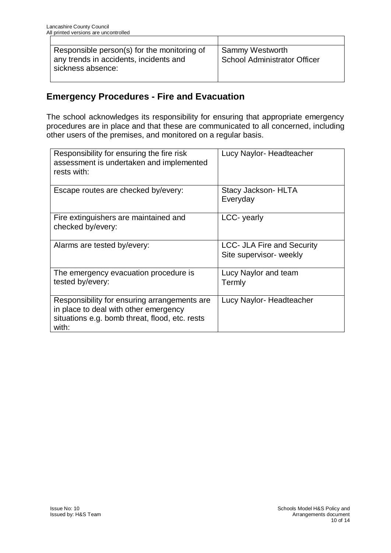| Responsible person(s) for the monitoring of | <b>Sammy Westworth</b>              |
|---------------------------------------------|-------------------------------------|
| any trends in accidents, incidents and      | <b>School Administrator Officer</b> |
| sickness absence:                           |                                     |

## **Emergency Procedures - Fire and Evacuation**

The school acknowledges its responsibility for ensuring that appropriate emergency procedures are in place and that these are communicated to all concerned, including other users of the premises, and monitored on a regular basis.

| Responsibility for ensuring the fire risk<br>assessment is undertaken and implemented<br>rests with:                                             | Lucy Naylor-Headteacher                                      |
|--------------------------------------------------------------------------------------------------------------------------------------------------|--------------------------------------------------------------|
| Escape routes are checked by/every:                                                                                                              | Stacy Jackson- HLTA<br>Everyday                              |
| Fire extinguishers are maintained and<br>checked by/every:                                                                                       | LCC- yearly                                                  |
| Alarms are tested by/every:                                                                                                                      | <b>LCC- JLA Fire and Security</b><br>Site supervisor- weekly |
| The emergency evacuation procedure is<br>tested by/every:                                                                                        | Lucy Naylor and team<br>Termly                               |
| Responsibility for ensuring arrangements are<br>in place to deal with other emergency<br>situations e.g. bomb threat, flood, etc. rests<br>with: | Lucy Naylor-Headteacher                                      |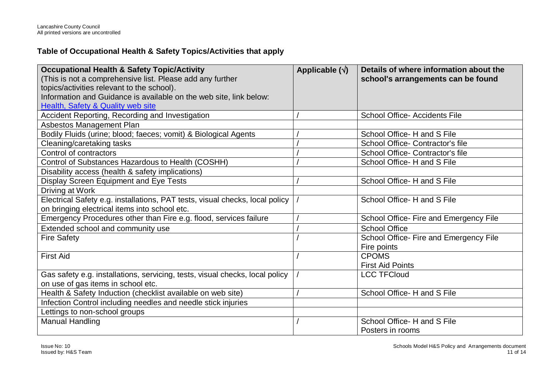#### **Table of Occupational Health & Safety Topics/Activities that apply**

| <b>Occupational Health &amp; Safety Topic/Activity</b><br>(This is not a comprehensive list. Please add any further | Applicable $(\sqrt{})$ | Details of where information about the<br>school's arrangements can be found |
|---------------------------------------------------------------------------------------------------------------------|------------------------|------------------------------------------------------------------------------|
| topics/activities relevant to the school).                                                                          |                        |                                                                              |
| Information and Guidance is available on the web site, link below:                                                  |                        |                                                                              |
| <b>Health, Safety &amp; Quality web site</b>                                                                        |                        |                                                                              |
| Accident Reporting, Recording and Investigation                                                                     |                        | <b>School Office-Accidents File</b>                                          |
| Asbestos Management Plan                                                                                            |                        |                                                                              |
| Bodily Fluids (urine; blood; faeces; vomit) & Biological Agents                                                     |                        | School Office- H and S File                                                  |
| Cleaning/caretaking tasks                                                                                           |                        | School Office- Contractor's file                                             |
| Control of contractors                                                                                              |                        | School Office- Contractor's file                                             |
| Control of Substances Hazardous to Health (COSHH)                                                                   |                        | School Office - H and S File                                                 |
| Disability access (health & safety implications)                                                                    |                        |                                                                              |
| Display Screen Equipment and Eye Tests                                                                              |                        | School Office- H and S File                                                  |
| Driving at Work                                                                                                     |                        |                                                                              |
| Electrical Safety e.g. installations, PAT tests, visual checks, local policy                                        |                        | School Office- H and S File                                                  |
| on bringing electrical items into school etc.                                                                       |                        |                                                                              |
| Emergency Procedures other than Fire e.g. flood, services failure                                                   |                        | School Office- Fire and Emergency File                                       |
| Extended school and community use                                                                                   |                        | <b>School Office</b>                                                         |
| <b>Fire Safety</b>                                                                                                  |                        | School Office- Fire and Emergency File                                       |
|                                                                                                                     |                        | Fire points                                                                  |
| <b>First Aid</b>                                                                                                    |                        | <b>CPOMS</b>                                                                 |
|                                                                                                                     |                        | <b>First Aid Points</b>                                                      |
| Gas safety e.g. installations, servicing, tests, visual checks, local policy                                        |                        | <b>LCC TFCloud</b>                                                           |
| on use of gas items in school etc.                                                                                  |                        |                                                                              |
| Health & Safety Induction (checklist available on web site)                                                         |                        | School Office- H and S File                                                  |
| Infection Control including needles and needle stick injuries                                                       |                        |                                                                              |
| Lettings to non-school groups                                                                                       |                        |                                                                              |
| <b>Manual Handling</b>                                                                                              |                        | School Office- H and S File                                                  |
|                                                                                                                     |                        | Posters in rooms                                                             |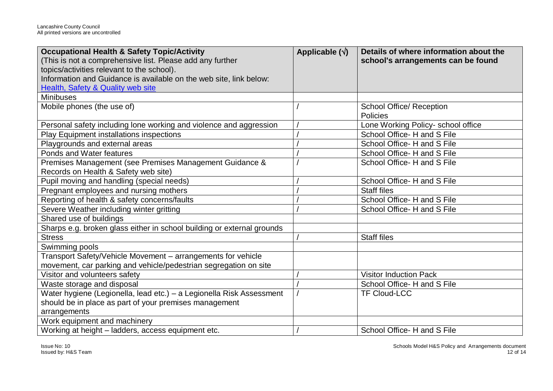| <b>Occupational Health &amp; Safety Topic/Activity</b><br>(This is not a comprehensive list. Please add any further<br>topics/activities relevant to the school). | Applicable $(\sqrt{})$ | Details of where information about the<br>school's arrangements can be found |
|-------------------------------------------------------------------------------------------------------------------------------------------------------------------|------------------------|------------------------------------------------------------------------------|
| Information and Guidance is available on the web site, link below:                                                                                                |                        |                                                                              |
| <b>Health, Safety &amp; Quality web site</b>                                                                                                                      |                        |                                                                              |
| <b>Minibuses</b>                                                                                                                                                  |                        |                                                                              |
| Mobile phones (the use of)                                                                                                                                        |                        | <b>School Office/ Reception</b><br>Policies                                  |
| Personal safety including lone working and violence and aggression                                                                                                |                        | Lone Working Policy- school office                                           |
| Play Equipment installations inspections                                                                                                                          |                        | School Office- H and S File                                                  |
| Playgrounds and external areas                                                                                                                                    |                        | School Office- H and S File                                                  |
| Ponds and Water features                                                                                                                                          |                        | School Office- H and S File                                                  |
| Premises Management (see Premises Management Guidance &                                                                                                           |                        | School Office- H and S File                                                  |
| Records on Health & Safety web site)                                                                                                                              |                        |                                                                              |
| Pupil moving and handling (special needs)                                                                                                                         |                        | School Office- H and S File                                                  |
| Pregnant employees and nursing mothers                                                                                                                            |                        | <b>Staff files</b>                                                           |
| Reporting of health & safety concerns/faults                                                                                                                      |                        | School Office- H and S File                                                  |
| Severe Weather including winter gritting                                                                                                                          |                        | School Office- H and S File                                                  |
| Shared use of buildings                                                                                                                                           |                        |                                                                              |
| Sharps e.g. broken glass either in school building or external grounds                                                                                            |                        |                                                                              |
| <b>Stress</b>                                                                                                                                                     |                        | <b>Staff files</b>                                                           |
| Swimming pools                                                                                                                                                    |                        |                                                                              |
| Transport Safety/Vehicle Movement - arrangements for vehicle                                                                                                      |                        |                                                                              |
| movement, car parking and vehicle/pedestrian segregation on site                                                                                                  |                        |                                                                              |
| Visitor and volunteers safety                                                                                                                                     |                        | <b>Visitor Induction Pack</b>                                                |
| Waste storage and disposal                                                                                                                                        |                        | School Office- H and S File                                                  |
| Water hygiene (Legionella, lead etc.) – a Legionella Risk Assessment                                                                                              |                        | <b>TF Cloud-LCC</b>                                                          |
| should be in place as part of your premises management                                                                                                            |                        |                                                                              |
| arrangements                                                                                                                                                      |                        |                                                                              |
| Work equipment and machinery                                                                                                                                      |                        |                                                                              |
| Working at height - ladders, access equipment etc.                                                                                                                |                        | School Office- H and S File                                                  |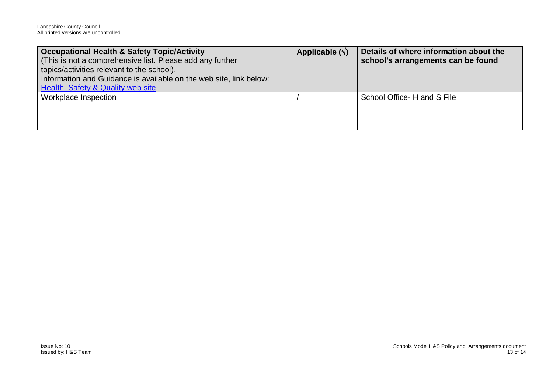| Occupational Health & Safety Topic/Activity                        | Applicable $(\sqrt{})$ | Details of where information about the |
|--------------------------------------------------------------------|------------------------|----------------------------------------|
| (This is not a comprehensive list. Please add any further          |                        | school's arrangements can be found     |
| topics/activities relevant to the school).                         |                        |                                        |
| Information and Guidance is available on the web site, link below: |                        |                                        |
| <b>Health, Safety &amp; Quality web site</b>                       |                        |                                        |
| <b>Workplace Inspection</b>                                        |                        | School Office - H and S File           |
|                                                                    |                        |                                        |
|                                                                    |                        |                                        |
|                                                                    |                        |                                        |